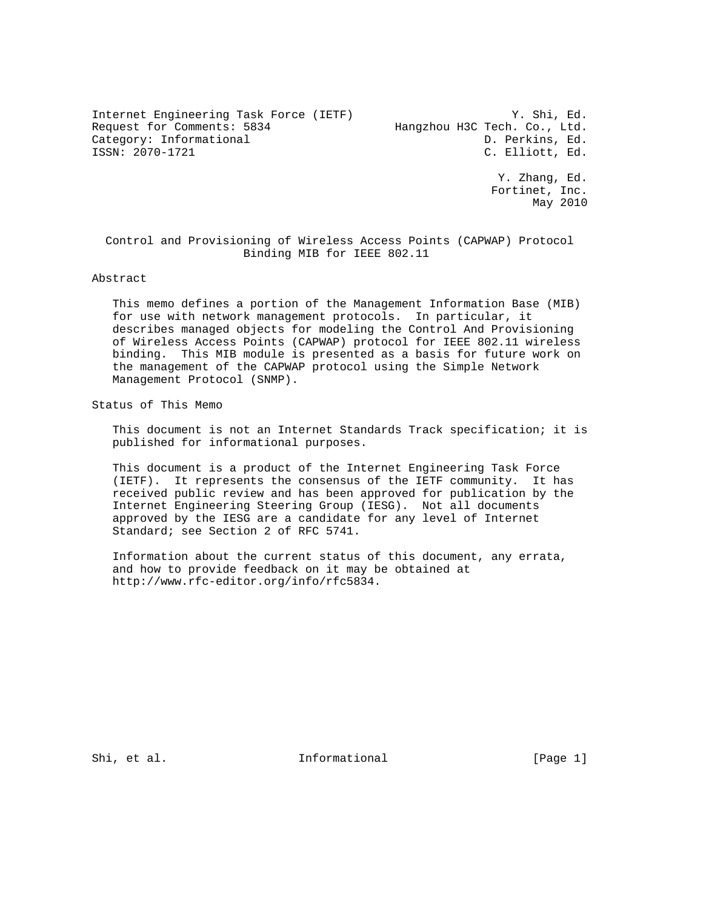Internet Engineering Task Force (IETF) W. Shi, Ed.<br>Request for Comments: 5834 Hangzhou H3C Tech. Co., Ltd. Request for Comments: 5834 Hangzhou H3C Tech. Co., Ltd. Category: Informational D. Perkins, Ed.<br>
ISSN: 2070-1721 C. Elliott, Ed.

C. Elliott, Ed. Y. Zhang, Ed. Fortinet, Inc. May 2010

 Control and Provisioning of Wireless Access Points (CAPWAP) Protocol Binding MIB for IEEE 802.11

#### Abstract

 This memo defines a portion of the Management Information Base (MIB) for use with network management protocols. In particular, it describes managed objects for modeling the Control And Provisioning of Wireless Access Points (CAPWAP) protocol for IEEE 802.11 wireless binding. This MIB module is presented as a basis for future work on the management of the CAPWAP protocol using the Simple Network Management Protocol (SNMP).

Status of This Memo

 This document is not an Internet Standards Track specification; it is published for informational purposes.

 This document is a product of the Internet Engineering Task Force (IETF). It represents the consensus of the IETF community. It has received public review and has been approved for publication by the Internet Engineering Steering Group (IESG). Not all documents approved by the IESG are a candidate for any level of Internet Standard; see Section 2 of RFC 5741.

 Information about the current status of this document, any errata, and how to provide feedback on it may be obtained at http://www.rfc-editor.org/info/rfc5834.

Shi, et al. Informational [Page 1]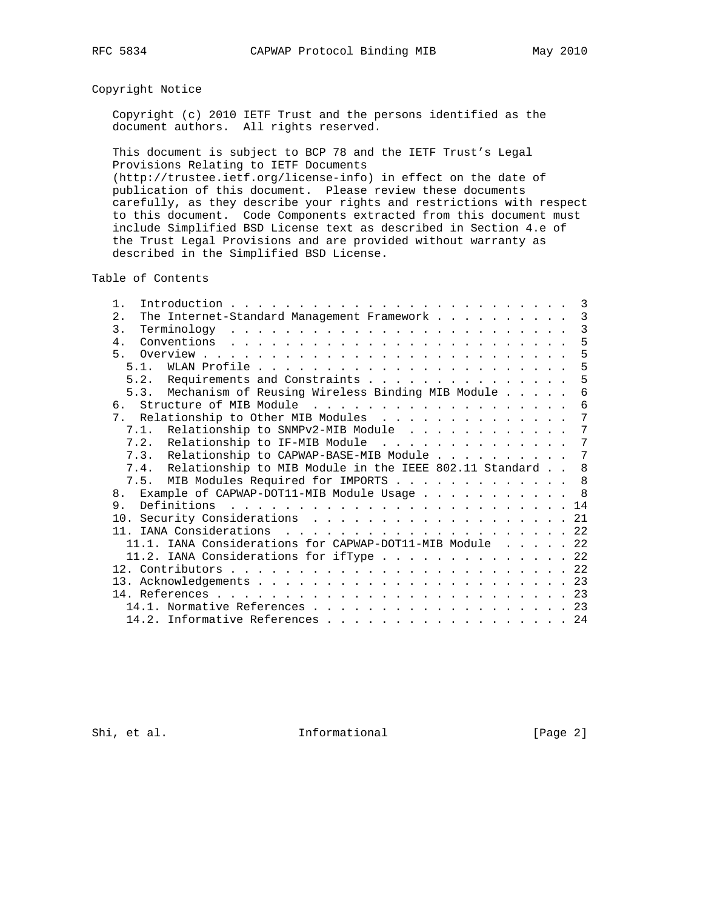## Copyright Notice

 Copyright (c) 2010 IETF Trust and the persons identified as the document authors. All rights reserved.

 This document is subject to BCP 78 and the IETF Trust's Legal Provisions Relating to IETF Documents

 (http://trustee.ietf.org/license-info) in effect on the date of publication of this document. Please review these documents carefully, as they describe your rights and restrictions with respect to this document. Code Components extracted from this document must include Simplified BSD License text as described in Section 4.e of the Trust Legal Provisions and are provided without warranty as described in the Simplified BSD License.

Table of Contents

| $1$ .                                                       |  | 3              |
|-------------------------------------------------------------|--|----------------|
| 2.1<br>The Internet-Standard Management Framework           |  | 3              |
| 3.                                                          |  | 3              |
| 4 <sub>1</sub>                                              |  | 5              |
|                                                             |  | 5              |
|                                                             |  | 5              |
| 5.2. Requirements and Constraints                           |  | 5              |
| 5.3. Mechanism of Reusing Wireless Binding MIB Module       |  | 6              |
| 6.                                                          |  | 6              |
| 7. Relationship to Other MIB Modules                        |  | 7              |
| 7.1. Relationship to SNMPv2-MIB Module                      |  | 7              |
| 7.2. Relationship to IF-MIB Module                          |  | $\overline{7}$ |
| 7.3. Relationship to CAPWAP-BASE-MIB Module                 |  | $\overline{7}$ |
| 7.4. Relationship to MIB Module in the IEEE 802.11 Standard |  | 8              |
| 7.5. MIB Modules Required for IMPORTS                       |  | 8              |
| Example of CAPWAP-DOT11-MIB Module Usage<br>8 <sub>1</sub>  |  | $_{\rm 8}$     |
| Definitions<br>9.                                           |  | 14             |
| 10. Security Considerations 21                              |  |                |
|                                                             |  |                |
| 11.1. IANA Considerations for CAPWAP-DOT11-MIB Module 22    |  |                |
| 11.2. IANA Considerations for iffype $\ldots$ 22            |  |                |
|                                                             |  |                |
|                                                             |  |                |
|                                                             |  | 23             |
| 14.1. Normative References 23                               |  |                |
| 14.2. Informative References 24                             |  |                |
|                                                             |  |                |

Shi, et al. 10. Informational [Page 2]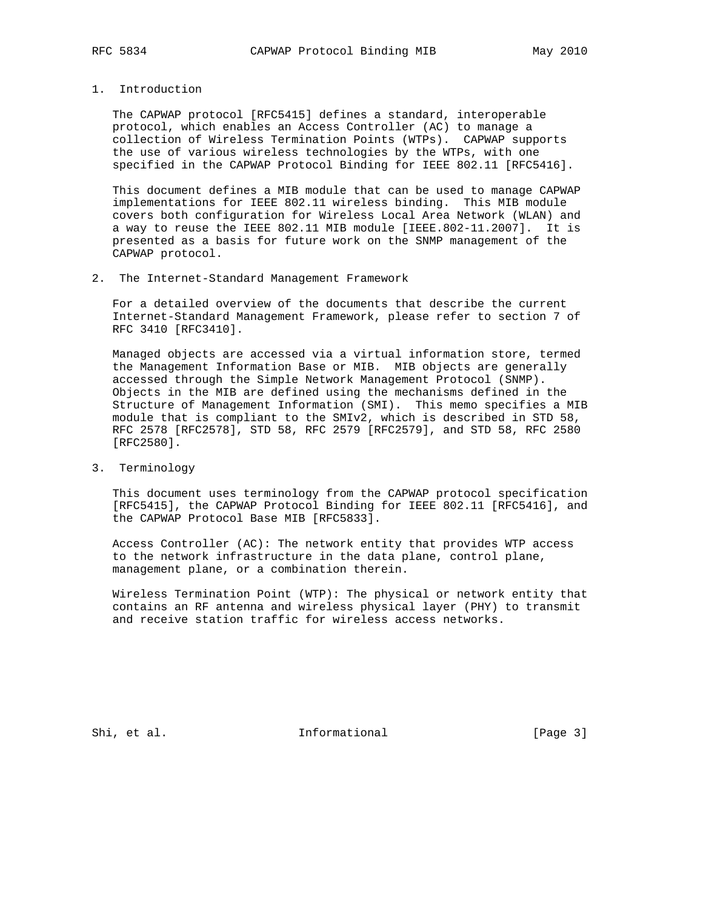# 1. Introduction

 The CAPWAP protocol [RFC5415] defines a standard, interoperable protocol, which enables an Access Controller (AC) to manage a collection of Wireless Termination Points (WTPs). CAPWAP supports the use of various wireless technologies by the WTPs, with one specified in the CAPWAP Protocol Binding for IEEE 802.11 [RFC5416].

 This document defines a MIB module that can be used to manage CAPWAP implementations for IEEE 802.11 wireless binding. This MIB module covers both configuration for Wireless Local Area Network (WLAN) and a way to reuse the IEEE 802.11 MIB module [IEEE.802-11.2007]. It is presented as a basis for future work on the SNMP management of the CAPWAP protocol.

### 2. The Internet-Standard Management Framework

 For a detailed overview of the documents that describe the current Internet-Standard Management Framework, please refer to section 7 of RFC 3410 [RFC3410].

 Managed objects are accessed via a virtual information store, termed the Management Information Base or MIB. MIB objects are generally accessed through the Simple Network Management Protocol (SNMP). Objects in the MIB are defined using the mechanisms defined in the Structure of Management Information (SMI). This memo specifies a MIB module that is compliant to the SMIv2, which is described in STD 58, RFC 2578 [RFC2578], STD 58, RFC 2579 [RFC2579], and STD 58, RFC 2580 [RFC2580].

## 3. Terminology

 This document uses terminology from the CAPWAP protocol specification [RFC5415], the CAPWAP Protocol Binding for IEEE 802.11 [RFC5416], and the CAPWAP Protocol Base MIB [RFC5833].

 Access Controller (AC): The network entity that provides WTP access to the network infrastructure in the data plane, control plane, management plane, or a combination therein.

 Wireless Termination Point (WTP): The physical or network entity that contains an RF antenna and wireless physical layer (PHY) to transmit and receive station traffic for wireless access networks.

Shi, et al. 10. Informational 1. [Page 3]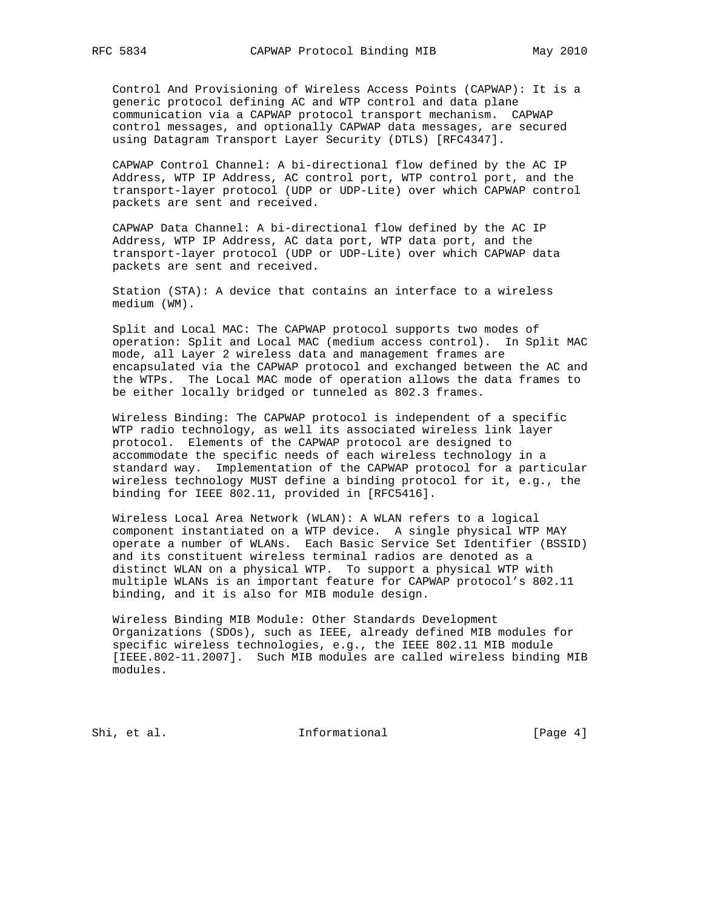Control And Provisioning of Wireless Access Points (CAPWAP): It is a generic protocol defining AC and WTP control and data plane communication via a CAPWAP protocol transport mechanism. CAPWAP control messages, and optionally CAPWAP data messages, are secured using Datagram Transport Layer Security (DTLS) [RFC4347].

 CAPWAP Control Channel: A bi-directional flow defined by the AC IP Address, WTP IP Address, AC control port, WTP control port, and the transport-layer protocol (UDP or UDP-Lite) over which CAPWAP control packets are sent and received.

 CAPWAP Data Channel: A bi-directional flow defined by the AC IP Address, WTP IP Address, AC data port, WTP data port, and the transport-layer protocol (UDP or UDP-Lite) over which CAPWAP data packets are sent and received.

 Station (STA): A device that contains an interface to a wireless medium (WM).

 Split and Local MAC: The CAPWAP protocol supports two modes of operation: Split and Local MAC (medium access control). In Split MAC mode, all Layer 2 wireless data and management frames are encapsulated via the CAPWAP protocol and exchanged between the AC and the WTPs. The Local MAC mode of operation allows the data frames to be either locally bridged or tunneled as 802.3 frames.

 Wireless Binding: The CAPWAP protocol is independent of a specific WTP radio technology, as well its associated wireless link layer protocol. Elements of the CAPWAP protocol are designed to accommodate the specific needs of each wireless technology in a standard way. Implementation of the CAPWAP protocol for a particular wireless technology MUST define a binding protocol for it, e.g., the binding for IEEE 802.11, provided in [RFC5416].

 Wireless Local Area Network (WLAN): A WLAN refers to a logical component instantiated on a WTP device. A single physical WTP MAY operate a number of WLANs. Each Basic Service Set Identifier (BSSID) and its constituent wireless terminal radios are denoted as a distinct WLAN on a physical WTP. To support a physical WTP with multiple WLANs is an important feature for CAPWAP protocol's 802.11 binding, and it is also for MIB module design.

 Wireless Binding MIB Module: Other Standards Development Organizations (SDOs), such as IEEE, already defined MIB modules for specific wireless technologies, e.g., the IEEE 802.11 MIB module [IEEE.802-11.2007]. Such MIB modules are called wireless binding MIB modules.

Shi, et al. 100 Informational 100 Informational [Page 4]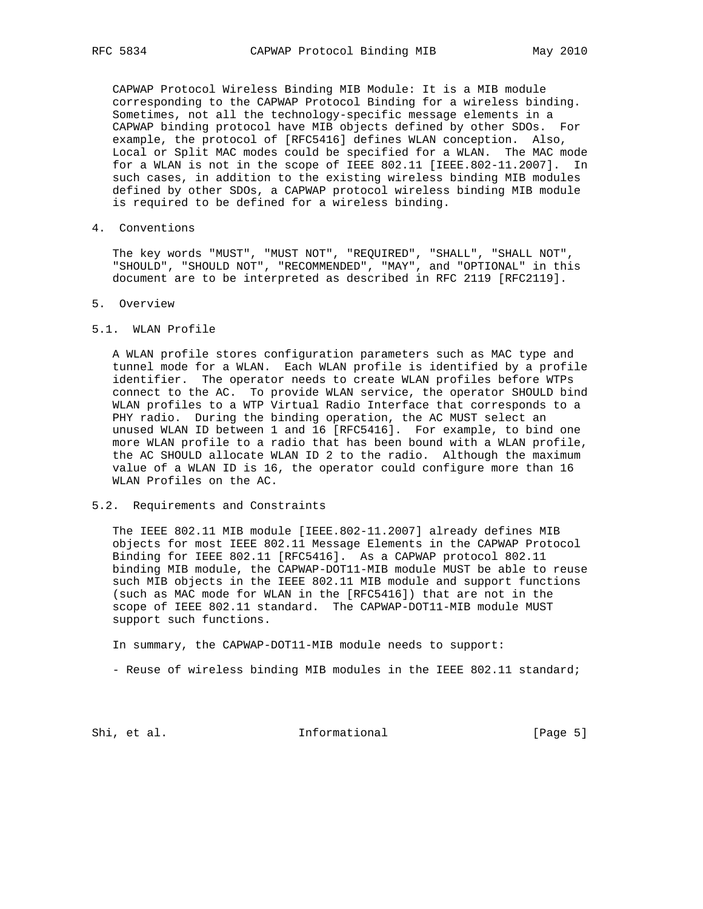CAPWAP Protocol Wireless Binding MIB Module: It is a MIB module corresponding to the CAPWAP Protocol Binding for a wireless binding. Sometimes, not all the technology-specific message elements in a CAPWAP binding protocol have MIB objects defined by other SDOs. For example, the protocol of [RFC5416] defines WLAN conception. Also, Local or Split MAC modes could be specified for a WLAN. The MAC mode for a WLAN is not in the scope of IEEE 802.11 [IEEE.802-11.2007]. In such cases, in addition to the existing wireless binding MIB modules defined by other SDOs, a CAPWAP protocol wireless binding MIB module is required to be defined for a wireless binding.

4. Conventions

 The key words "MUST", "MUST NOT", "REQUIRED", "SHALL", "SHALL NOT", "SHOULD", "SHOULD NOT", "RECOMMENDED", "MAY", and "OPTIONAL" in this document are to be interpreted as described in RFC 2119 [RFC2119].

- 5. Overview
- 5.1. WLAN Profile

 A WLAN profile stores configuration parameters such as MAC type and tunnel mode for a WLAN. Each WLAN profile is identified by a profile identifier. The operator needs to create WLAN profiles before WTPs connect to the AC. To provide WLAN service, the operator SHOULD bind WLAN profiles to a WTP Virtual Radio Interface that corresponds to a PHY radio. During the binding operation, the AC MUST select an unused WLAN ID between 1 and 16 [RFC5416]. For example, to bind one more WLAN profile to a radio that has been bound with a WLAN profile, the AC SHOULD allocate WLAN ID 2 to the radio. Although the maximum value of a WLAN ID is 16, the operator could configure more than 16 WLAN Profiles on the AC.

5.2. Requirements and Constraints

 The IEEE 802.11 MIB module [IEEE.802-11.2007] already defines MIB objects for most IEEE 802.11 Message Elements in the CAPWAP Protocol Binding for IEEE 802.11 [RFC5416]. As a CAPWAP protocol 802.11 binding MIB module, the CAPWAP-DOT11-MIB module MUST be able to reuse such MIB objects in the IEEE 802.11 MIB module and support functions (such as MAC mode for WLAN in the [RFC5416]) that are not in the scope of IEEE 802.11 standard. The CAPWAP-DOT11-MIB module MUST support such functions.

In summary, the CAPWAP-DOT11-MIB module needs to support:

- Reuse of wireless binding MIB modules in the IEEE 802.11 standard;

Shi, et al. The Informational (Page 5)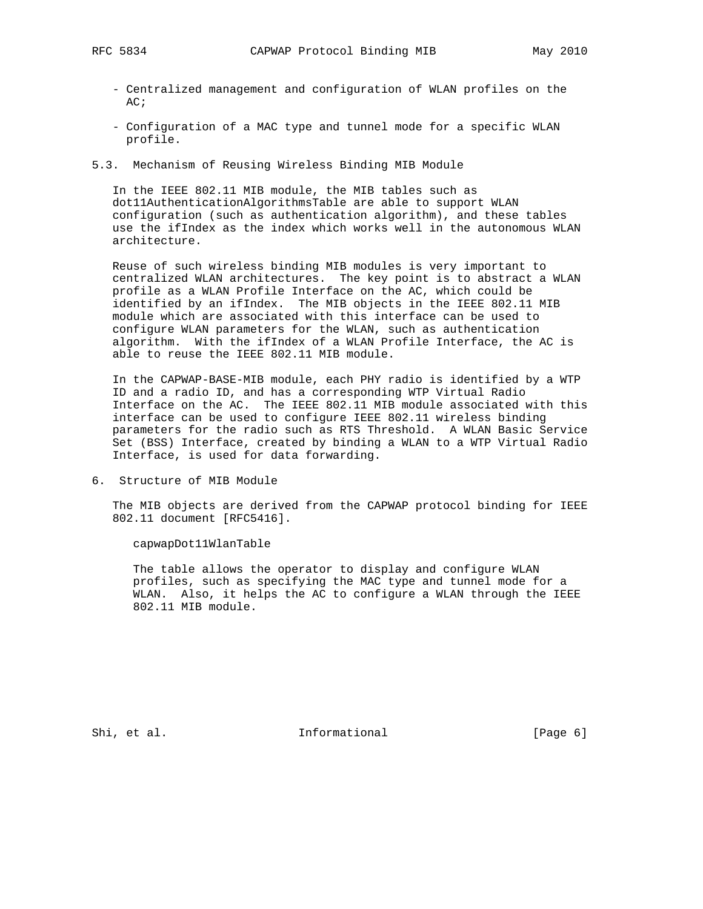- Centralized management and configuration of WLAN profiles on the AC;
- Configuration of a MAC type and tunnel mode for a specific WLAN profile.
- 5.3. Mechanism of Reusing Wireless Binding MIB Module

 In the IEEE 802.11 MIB module, the MIB tables such as dot11AuthenticationAlgorithmsTable are able to support WLAN configuration (such as authentication algorithm), and these tables use the ifIndex as the index which works well in the autonomous WLAN architecture.

 Reuse of such wireless binding MIB modules is very important to centralized WLAN architectures. The key point is to abstract a WLAN profile as a WLAN Profile Interface on the AC, which could be identified by an ifIndex. The MIB objects in the IEEE 802.11 MIB module which are associated with this interface can be used to configure WLAN parameters for the WLAN, such as authentication algorithm. With the ifIndex of a WLAN Profile Interface, the AC is able to reuse the IEEE 802.11 MIB module.

 In the CAPWAP-BASE-MIB module, each PHY radio is identified by a WTP ID and a radio ID, and has a corresponding WTP Virtual Radio Interface on the AC. The IEEE 802.11 MIB module associated with this interface can be used to configure IEEE 802.11 wireless binding parameters for the radio such as RTS Threshold. A WLAN Basic Service Set (BSS) Interface, created by binding a WLAN to a WTP Virtual Radio Interface, is used for data forwarding.

6. Structure of MIB Module

 The MIB objects are derived from the CAPWAP protocol binding for IEEE 802.11 document [RFC5416].

capwapDot11WlanTable

 The table allows the operator to display and configure WLAN profiles, such as specifying the MAC type and tunnel mode for a WLAN. Also, it helps the AC to configure a WLAN through the IEEE 802.11 MIB module.

Shi, et al. 100 and 100 and 111 and 100 and 100 and 100 and 100 and 100 and 100 and 100 and 100 and 100 and 10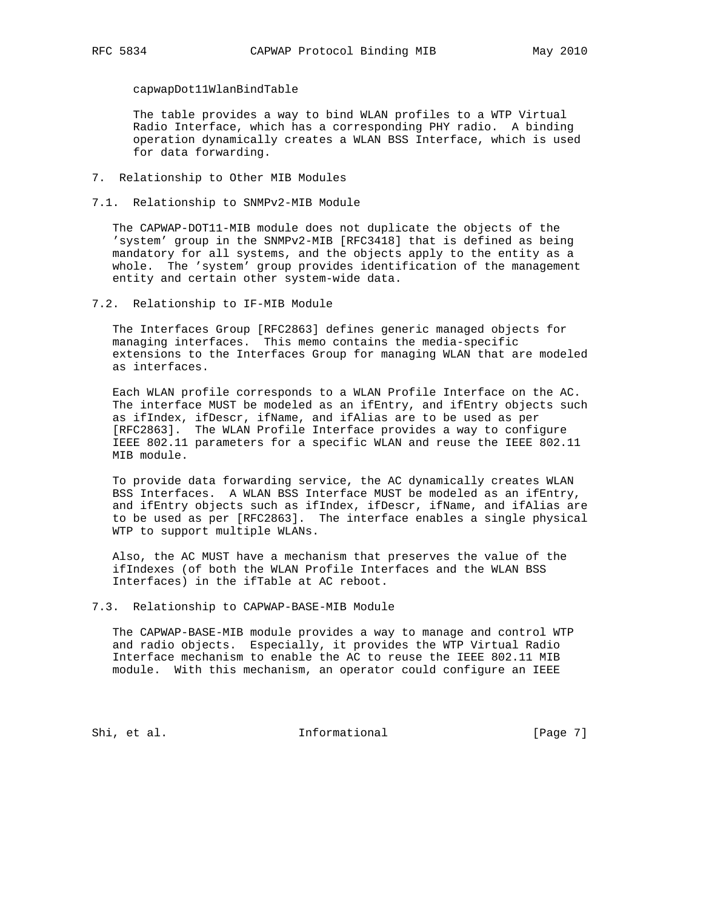capwapDot11WlanBindTable

 The table provides a way to bind WLAN profiles to a WTP Virtual Radio Interface, which has a corresponding PHY radio. A binding operation dynamically creates a WLAN BSS Interface, which is used for data forwarding.

- 7. Relationship to Other MIB Modules
- 7.1. Relationship to SNMPv2-MIB Module

 The CAPWAP-DOT11-MIB module does not duplicate the objects of the 'system' group in the SNMPv2-MIB [RFC3418] that is defined as being mandatory for all systems, and the objects apply to the entity as a whole. The 'system' group provides identification of the management entity and certain other system-wide data.

7.2. Relationship to IF-MIB Module

 The Interfaces Group [RFC2863] defines generic managed objects for managing interfaces. This memo contains the media-specific extensions to the Interfaces Group for managing WLAN that are modeled as interfaces.

 Each WLAN profile corresponds to a WLAN Profile Interface on the AC. The interface MUST be modeled as an ifEntry, and ifEntry objects such as ifIndex, ifDescr, ifName, and ifAlias are to be used as per [RFC2863]. The WLAN Profile Interface provides a way to configure IEEE 802.11 parameters for a specific WLAN and reuse the IEEE 802.11 MIB module.

 To provide data forwarding service, the AC dynamically creates WLAN BSS Interfaces. A WLAN BSS Interface MUST be modeled as an ifEntry, and ifEntry objects such as ifIndex, ifDescr, ifName, and ifAlias are to be used as per [RFC2863]. The interface enables a single physical WTP to support multiple WLANs.

 Also, the AC MUST have a mechanism that preserves the value of the ifIndexes (of both the WLAN Profile Interfaces and the WLAN BSS Interfaces) in the ifTable at AC reboot.

7.3. Relationship to CAPWAP-BASE-MIB Module

 The CAPWAP-BASE-MIB module provides a way to manage and control WTP and radio objects. Especially, it provides the WTP Virtual Radio Interface mechanism to enable the AC to reuse the IEEE 802.11 MIB module. With this mechanism, an operator could configure an IEEE

Shi, et al. 1nformational [Page 7]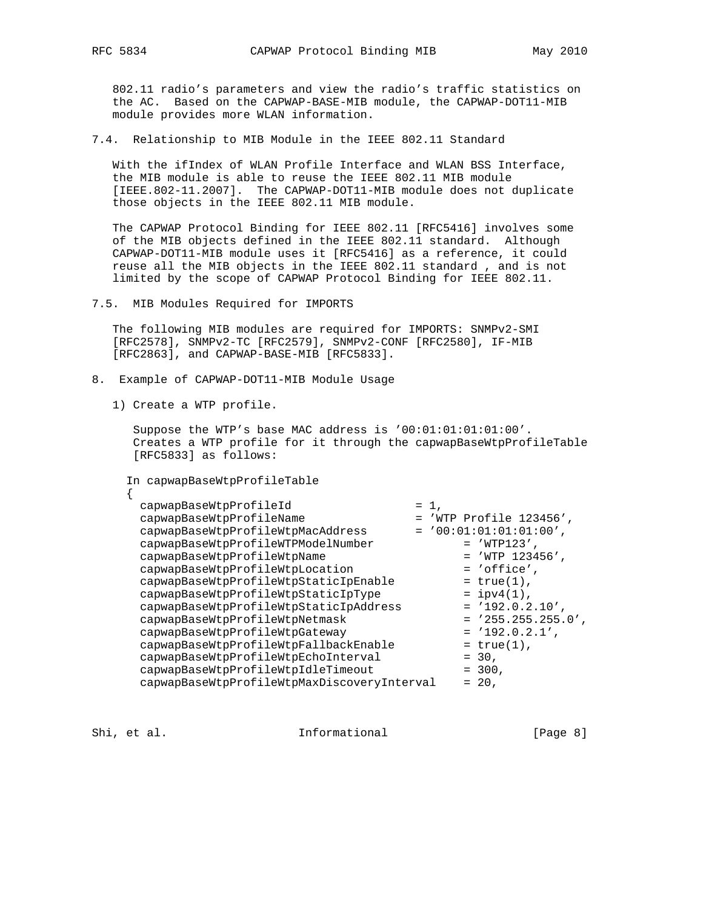802.11 radio's parameters and view the radio's traffic statistics on the AC. Based on the CAPWAP-BASE-MIB module, the CAPWAP-DOT11-MIB module provides more WLAN information.

7.4. Relationship to MIB Module in the IEEE 802.11 Standard

 With the ifIndex of WLAN Profile Interface and WLAN BSS Interface, the MIB module is able to reuse the IEEE 802.11 MIB module [IEEE.802-11.2007]. The CAPWAP-DOT11-MIB module does not duplicate those objects in the IEEE 802.11 MIB module.

 The CAPWAP Protocol Binding for IEEE 802.11 [RFC5416] involves some of the MIB objects defined in the IEEE 802.11 standard. Although CAPWAP-DOT11-MIB module uses it [RFC5416] as a reference, it could reuse all the MIB objects in the IEEE 802.11 standard , and is not limited by the scope of CAPWAP Protocol Binding for IEEE 802.11.

7.5. MIB Modules Required for IMPORTS

 The following MIB modules are required for IMPORTS: SNMPv2-SMI [RFC2578], SNMPv2-TC [RFC2579], SNMPv2-CONF [RFC2580], IF-MIB [RFC2863], and CAPWAP-BASE-MIB [RFC5833].

- 8. Example of CAPWAP-DOT11-MIB Module Usage
	- 1) Create a WTP profile.

 Suppose the WTP's base MAC address is '00:01:01:01:01:00'. Creates a WTP profile for it through the capwapBaseWtpProfileTable [RFC5833] as follows:

```
 In capwapBaseWtpProfileTable
```

| capwapBaseWtpProfileId                      | $= 1$ ,                   |
|---------------------------------------------|---------------------------|
| capwapBaseWtpProfileName                    | $=$ 'WTP Profile 123456', |
| capwapBaseWtpProfileWtpMacAddress           | $= '00:01:01:01:01:00',$  |
| capwapBaseWtpProfileWTPModelNumber          | $=$ 'WTP123',             |
| capwapBaseWtpProfileWtpName                 | $=$ 'WTP 123456',         |
| capwapBaseWtpProfileWtpLocation             | $= 'office',$             |
| capwapBaseWtpProfileWtpStaticIpEnable       | $= true(1)$ ,             |
| capwapBaseWtpProfileWtpStaticIpType         | $=$ ipv4 $(1)$ ,          |
| capwapBaseWtpProfileWtpStaticIpAddress      | $= '192.0.2.10'$ .        |
| capwapBaseWtpProfileWtpNetmask              | $= '255.255.255.0',$      |
| capwapBaseWtpProfileWtpGateway              | $= '192.0.2.1',$          |
| capwapBaseWtpProfileWtpFallbackEnable       | $= true(1)$ ,             |
| capwapBaseWtpProfileWtpEchoInterval         | $= 30,$                   |
| capwapBaseWtpProfileWtpIdleTimeout          | $= 300,$                  |
| capwapBaseWtpProfileWtpMaxDiscoveryInterval | $= 20.$                   |

Shi, et al. 10. Informational 1. [Page 8]

{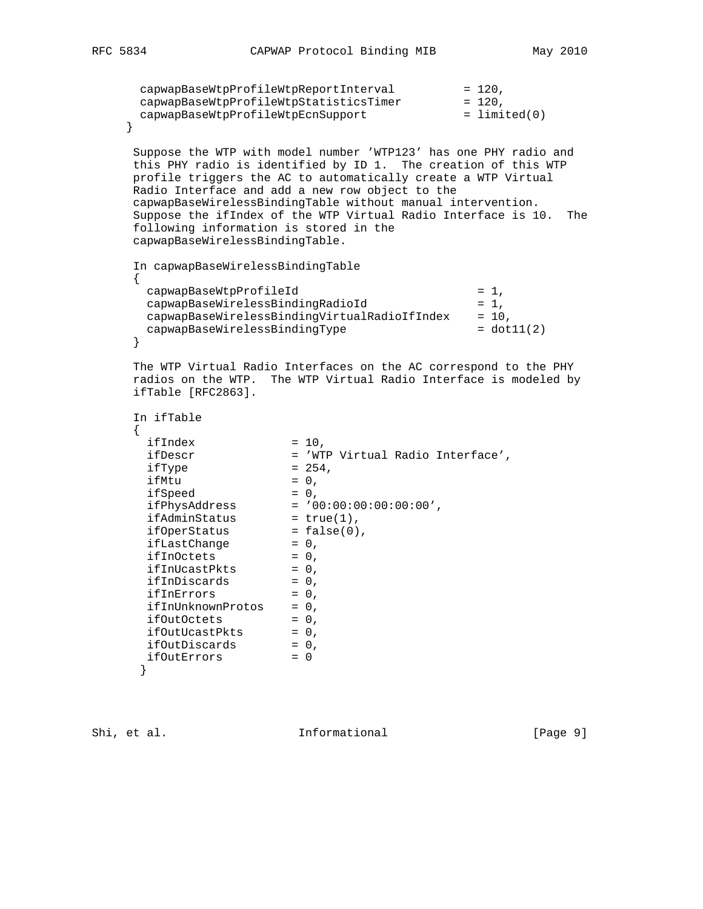```
capwapBaseWtpProfileWtpReportInterval = 120,
 capwapBaseWtpProfileWtpStatisticsTimer = 120,
 capwapBaseWtpProfileWtpEcnSupport = limited(0)
    }
     Suppose the WTP with model number 'WTP123' has one PHY radio and
     this PHY radio is identified by ID 1. The creation of this WTP
     profile triggers the AC to automatically create a WTP Virtual
     Radio Interface and add a new row object to the
     capwapBaseWirelessBindingTable without manual intervention.
     Suppose the ifIndex of the WTP Virtual Radio Interface is 10. The
     following information is stored in the
     capwapBaseWirelessBindingTable.
     In capwapBaseWirelessBindingTable
     {
capwapBaseWtpProfileId = 1,
 capwapBaseWirelessBindingRadioId = 1,
     capwapBaseWireless BindingVirtualRadioIfIndex = 10,capwapBaseWirelessBindingType = dot11(2)
     }
     The WTP Virtual Radio Interfaces on the AC correspond to the PHY
     radios on the WTP. The WTP Virtual Radio Interface is modeled by
     ifTable [RFC2863].
     In ifTable
     {
ifIndex = 10, ifDescr = 'WTP Virtual Radio Interface',
ifType = 254,
ifMtu = 0,ifSpeed = 0, ifPhysAddress = '00:00:00:00:00:00',
ifAdminStatus = true(1),
ifOperStatus = false(0),
ifLastChange = 0,
ifInOctets = 0,
ifInUcastPkts = 0,
ifInDiscards = 0,
ifInErrors = 0,
     ifInUnknownProtos = 0,
      ifOutOctets = 0,
ifOutUcastPkts = 0,
ifOutDiscards = 0,
ifOutErrors = 0
      }
```
Shi, et al. The informational the state of  $[Page 9]$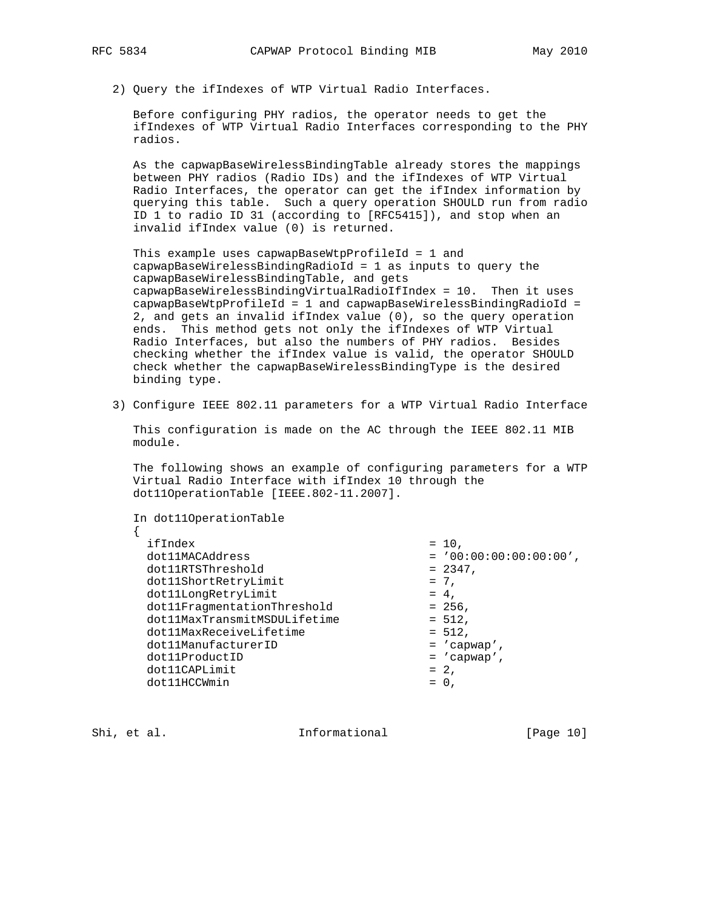2) Query the ifIndexes of WTP Virtual Radio Interfaces.

 Before configuring PHY radios, the operator needs to get the ifIndexes of WTP Virtual Radio Interfaces corresponding to the PHY radios.

 As the capwapBaseWirelessBindingTable already stores the mappings between PHY radios (Radio IDs) and the ifIndexes of WTP Virtual Radio Interfaces, the operator can get the ifIndex information by querying this table. Such a query operation SHOULD run from radio ID 1 to radio ID 31 (according to [RFC5415]), and stop when an invalid ifIndex value (0) is returned.

 This example uses capwapBaseWtpProfileId = 1 and capwapBaseWirelessBindingRadioId = 1 as inputs to query the capwapBaseWirelessBindingTable, and gets capwapBaseWirelessBindingVirtualRadioIfIndex = 10. Then it uses capwapBaseWtpProfileId = 1 and capwapBaseWirelessBindingRadioId = 2, and gets an invalid ifIndex value (0), so the query operation ends. This method gets not only the ifIndexes of WTP Virtual Radio Interfaces, but also the numbers of PHY radios. Besides checking whether the ifIndex value is valid, the operator SHOULD check whether the capwapBaseWirelessBindingType is the desired binding type.

3) Configure IEEE 802.11 parameters for a WTP Virtual Radio Interface

 This configuration is made on the AC through the IEEE 802.11 MIB module.

 The following shows an example of configuring parameters for a WTP Virtual Radio Interface with ifIndex 10 through the dot11OperationTable [IEEE.802-11.2007].

In dot11OperationTable

 {  $ifIndex = 10,$  dot11MACAddress = '00:00:00:00:00:00',  $dot11RTSThreshold = 2347,$ dot11ShortRetryLimit = 7,  $dot11$ LongRetryLimit  $= 4$ ,  $dot11$ FragmentationThreshold  $= 256$ , dot11MaxTransmitMSDULifetime = 512, dot11MaxReceiveLifetime = 512, dot11ManufacturerID  $\qquad \qquad \qquad = 'c$ apwap', dot11ProductID = 'capwap',  $dot11$ CAPLimit = 2,  $dot11HCCWmin$  = 0,

Shi, et al. 10 1nformational [Page 10]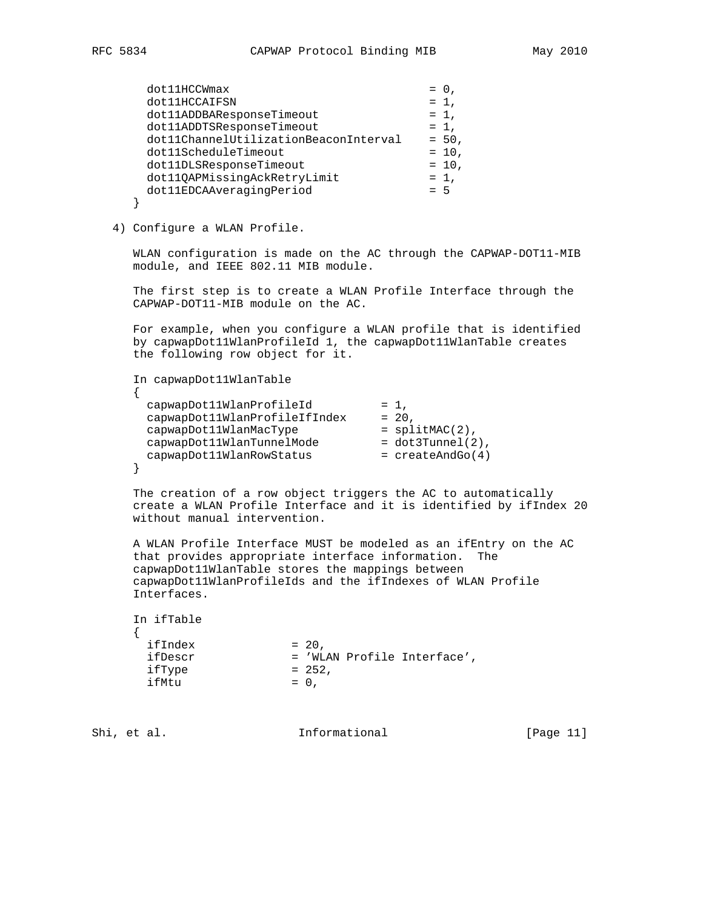| dot11HCCWmax                          | $= 0$    |
|---------------------------------------|----------|
| dot11HCCAIFSN                         | $= 1$ ,  |
| dot11ADDBAResponseTimeout             | $= 1$ ,  |
| dot11ADDTSResponseTimeout             | $= 1$ ,  |
| dot11ChannelUtilizationBeaconInterval | $= 50$ , |
| dot11ScheduleTimeout                  | $= 10$ , |
| dot11DLSResponseTimeout               | $= 10$ , |
| dot110APMissingAckRetryLimit          | $= 1$ ,  |
| dot11EDCAAveragingPeriod              | $= 5$    |
|                                       |          |

4) Configure a WLAN Profile.

 WLAN configuration is made on the AC through the CAPWAP-DOT11-MIB module, and IEEE 802.11 MIB module.

 The first step is to create a WLAN Profile Interface through the CAPWAP-DOT11-MIB module on the AC.

 For example, when you configure a WLAN profile that is identified by capwapDot11WlanProfileId 1, the capwapDot11WlanTable creates the following row object for it.

```
 In capwapDot11WlanTable
     {
capwapDot11WlanProfileId = 1,
 capwapDot11WlanProfileIfIndex = 20,
 capwapDot11WlanMacType = splitMAC(2),
 capwapDot11WlanTunnelMode = dot3Tunnel(2),
 capwapDot11WlanRowStatus = createAndGo(4)
     }
```
 The creation of a row object triggers the AC to automatically create a WLAN Profile Interface and it is identified by ifIndex 20 without manual intervention.

 A WLAN Profile Interface MUST be modeled as an ifEntry on the AC that provides appropriate interface information. The capwapDot11WlanTable stores the mappings between capwapDot11WlanProfileIds and the ifIndexes of WLAN Profile Interfaces.

| In ifTable |         |                             |
|------------|---------|-----------------------------|
|            |         |                             |
| ifIndex    | $= 20.$ |                             |
| ifDescr    |         | = 'WLAN Profile Interface', |
| ifType     | $= 252$ |                             |
| ifMtu      | $= 0.$  |                             |

Shi, et al. 10. Informational [Page 11]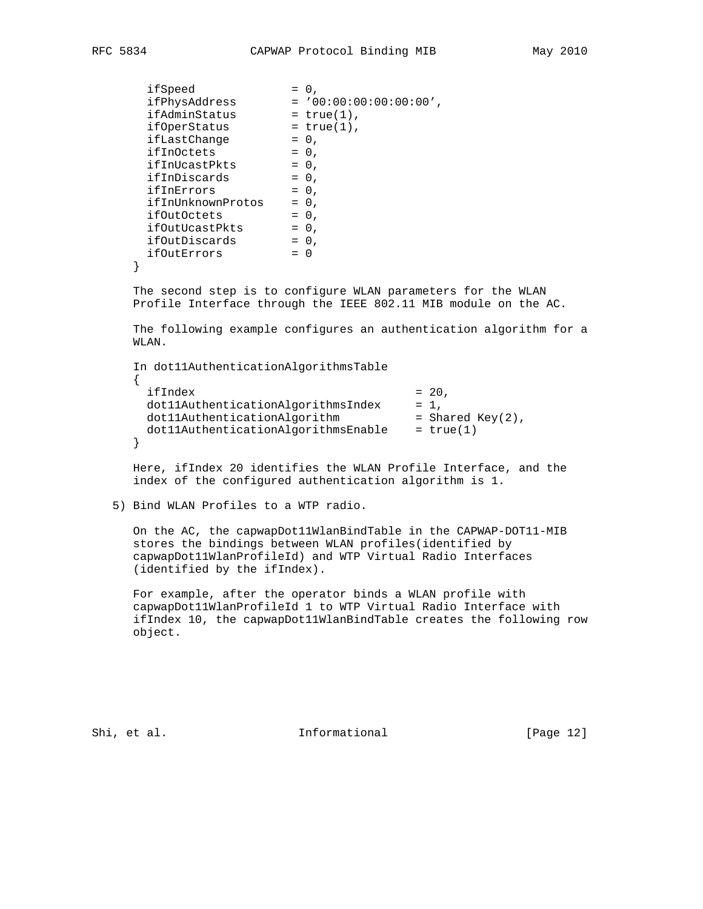| ifSpeed           | $= 0.$                                                          |
|-------------------|-----------------------------------------------------------------|
| ifPhysAddress     | $= '00:00:00:00:00:00'.$                                        |
| ifAdminStatus     | $= true(1)$ ,                                                   |
| ifOperStatus      | $= true(1)$ ,                                                   |
| ifLastChange      | $= 0$ ,                                                         |
| ifInOctets        | $= 0$ ,                                                         |
| ifInUcastPkts     | $= 0$ ,                                                         |
| ifInDiscards      | $= 0$ ,                                                         |
| ifInErrors        | $= 0$ ,                                                         |
| ifInUnknownProtos | $= 0$ ,                                                         |
| ifOutOctets       | $= 0$ ,                                                         |
| ifOutUcastPkts    | $= 0$ ,                                                         |
| ifOutDiscards     | $= 0$ ,                                                         |
| ifOutErrors       | $= 0$                                                           |
|                   |                                                                 |
|                   | The second step is to configure WLAN parameters for the WLAN    |
|                   | Profile Interface through the IEEE 802.11 MIB module on the AC. |

 The following example configures an authentication algorithm for a WLAN.

 In dot11AuthenticationAlgorithmsTable  $\{$  $ifIndex = 20,$ dot11AuthenticationAlgorithmsIndex = 1,  $dot11$ AuthenticationAlgorithm  $=$  Shared Key(2), dot11AuthenticationAlgorithmsEnable = true(1) }

 Here, ifIndex 20 identifies the WLAN Profile Interface, and the index of the configured authentication algorithm is 1.

5) Bind WLAN Profiles to a WTP radio.

 On the AC, the capwapDot11WlanBindTable in the CAPWAP-DOT11-MIB stores the bindings between WLAN profiles(identified by capwapDot11WlanProfileId) and WTP Virtual Radio Interfaces (identified by the ifIndex).

 For example, after the operator binds a WLAN profile with capwapDot11WlanProfileId 1 to WTP Virtual Radio Interface with ifIndex 10, the capwapDot11WlanBindTable creates the following row object.

Shi, et al. 10. Informational [Page 12]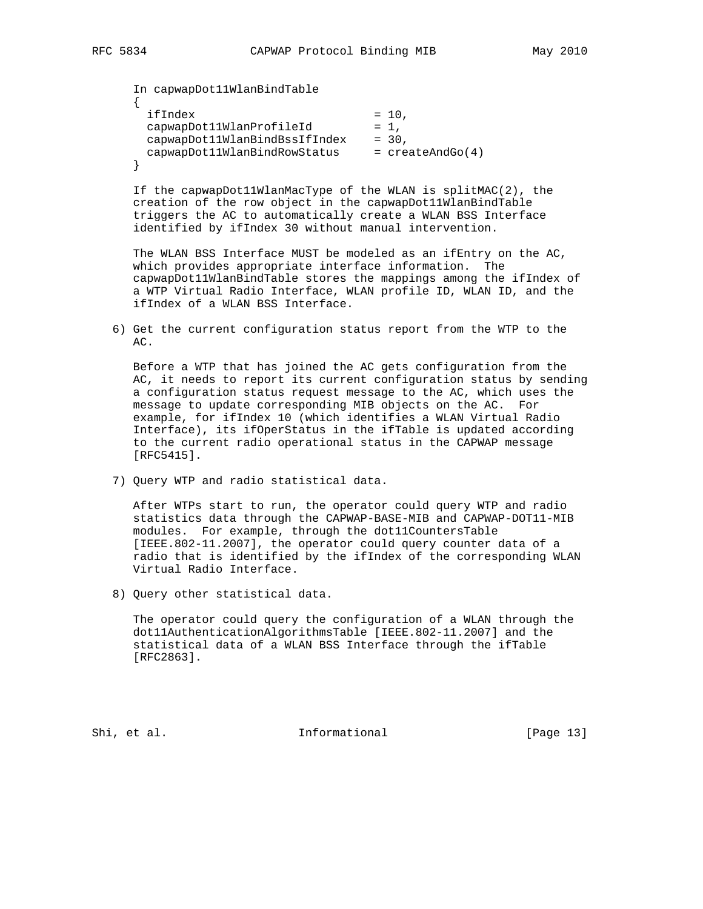In capwapDot11WlanBindTable  $\mathcal{L}$  $ifIndex = 10,$ capwapDot11WlanProfileId = 1, capwapDot11WlanBindBssIfIndex = 30, capwapDot11WlanBindRowStatus = createAndGo(4) }

 If the capwapDot11WlanMacType of the WLAN is splitMAC(2), the creation of the row object in the capwapDot11WlanBindTable triggers the AC to automatically create a WLAN BSS Interface identified by ifIndex 30 without manual intervention.

 The WLAN BSS Interface MUST be modeled as an ifEntry on the AC, which provides appropriate interface information. The capwapDot11WlanBindTable stores the mappings among the ifIndex of a WTP Virtual Radio Interface, WLAN profile ID, WLAN ID, and the ifIndex of a WLAN BSS Interface.

 6) Get the current configuration status report from the WTP to the AC.

 Before a WTP that has joined the AC gets configuration from the AC, it needs to report its current configuration status by sending a configuration status request message to the AC, which uses the message to update corresponding MIB objects on the AC. For example, for ifIndex 10 (which identifies a WLAN Virtual Radio Interface), its ifOperStatus in the ifTable is updated according to the current radio operational status in the CAPWAP message [RFC5415].

7) Query WTP and radio statistical data.

 After WTPs start to run, the operator could query WTP and radio statistics data through the CAPWAP-BASE-MIB and CAPWAP-DOT11-MIB modules. For example, through the dot11CountersTable [IEEE.802-11.2007], the operator could query counter data of a radio that is identified by the ifIndex of the corresponding WLAN Virtual Radio Interface.

8) Query other statistical data.

 The operator could query the configuration of a WLAN through the dot11AuthenticationAlgorithmsTable [IEEE.802-11.2007] and the statistical data of a WLAN BSS Interface through the ifTable [RFC2863].

Shi, et al. 10. Informational [Page 13]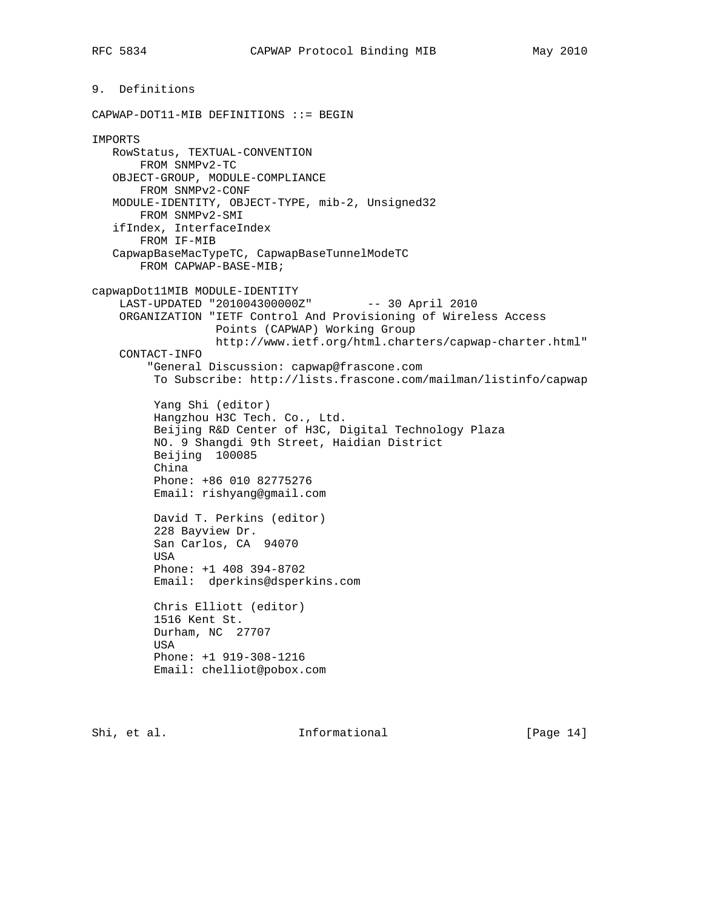```
9. Definitions
CAPWAP-DOT11-MIB DEFINITIONS ::= BEGIN
IMPORTS
   RowStatus, TEXTUAL-CONVENTION
       FROM SNMPv2-TC
    OBJECT-GROUP, MODULE-COMPLIANCE
       FROM SNMPv2-CONF
   MODULE-IDENTITY, OBJECT-TYPE, mib-2, Unsigned32
       FROM SNMPv2-SMI
    ifIndex, InterfaceIndex
       FROM IF-MIB
    CapwapBaseMacTypeTC, CapwapBaseTunnelModeTC
       FROM CAPWAP-BASE-MIB;
capwapDot11MIB MODULE-IDENTITY
   LAST-UPDATED "201004300000Z" -- 30 April 2010
     ORGANIZATION "IETF Control And Provisioning of Wireless Access
                  Points (CAPWAP) Working Group
                  http://www.ietf.org/html.charters/capwap-charter.html"
     CONTACT-INFO
         "General Discussion: capwap@frascone.com
          To Subscribe: http://lists.frascone.com/mailman/listinfo/capwap
          Yang Shi (editor)
          Hangzhou H3C Tech. Co., Ltd.
          Beijing R&D Center of H3C, Digital Technology Plaza
          NO. 9 Shangdi 9th Street, Haidian District
          Beijing 100085
          China
          Phone: +86 010 82775276
          Email: rishyang@gmail.com
          David T. Perkins (editor)
          228 Bayview Dr.
          San Carlos, CA 94070
          USA
          Phone: +1 408 394-8702
          Email: dperkins@dsperkins.com
          Chris Elliott (editor)
          1516 Kent St.
          Durham, NC 27707
          USA
          Phone: +1 919-308-1216
          Email: chelliot@pobox.com
```
Shi, et al. Informational [Page 14]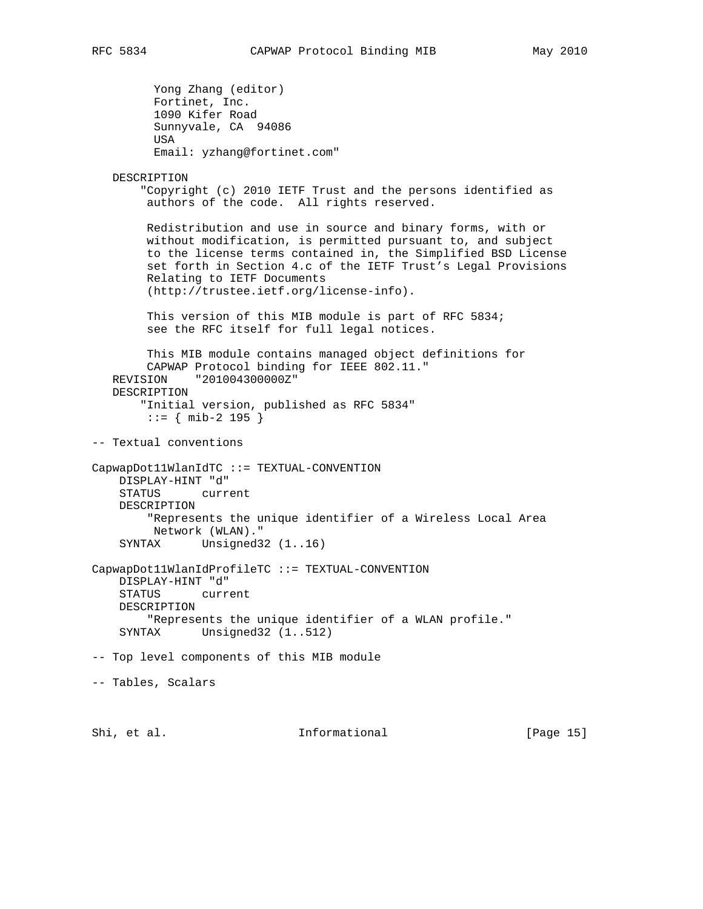```
 Yong Zhang (editor)
          Fortinet, Inc.
          1090 Kifer Road
          Sunnyvale, CA 94086
          USA
          Email: yzhang@fortinet.com"
    DESCRIPTION
        "Copyright (c) 2010 IETF Trust and the persons identified as
         authors of the code. All rights reserved.
        Redistribution and use in source and binary forms, with or
        without modification, is permitted pursuant to, and subject
        to the license terms contained in, the Simplified BSD License
         set forth in Section 4.c of the IETF Trust's Legal Provisions
        Relating to IETF Documents
         (http://trustee.ietf.org/license-info).
        This version of this MIB module is part of RFC 5834;
         see the RFC itself for full legal notices.
        This MIB module contains managed object definitions for
        CAPWAP Protocol binding for IEEE 802.11."
   REVISION "201004300000Z"
   DESCRIPTION
        "Initial version, published as RFC 5834"
         ::= { mib-2 195 }
-- Textual conventions
CapwapDot11WlanIdTC ::= TEXTUAL-CONVENTION
    DISPLAY-HINT "d"
     STATUS current
     DESCRIPTION
         "Represents the unique identifier of a Wireless Local Area
         Network (WLAN)."
    SYNTAX Unsigned32 (1..16)
CapwapDot11WlanIdProfileTC ::= TEXTUAL-CONVENTION
    DISPLAY-HINT "d"
     STATUS current
     DESCRIPTION
        "Represents the unique identifier of a WLAN profile."
     SYNTAX Unsigned32 (1..512)
-- Top level components of this MIB module
-- Tables, Scalars
Shi, et al.                   Informational               [Page 15]
```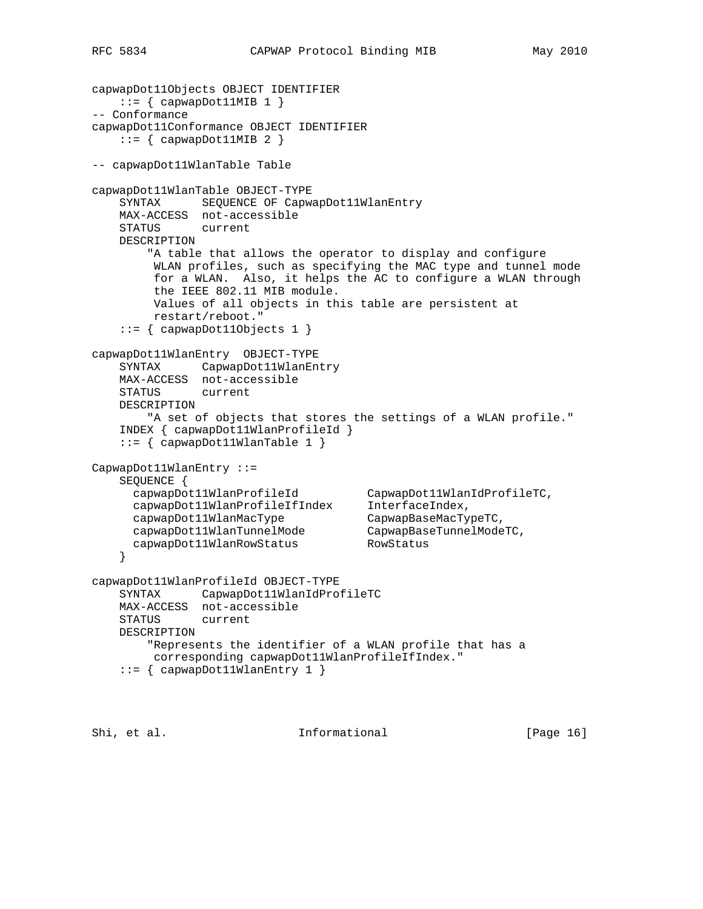```
capwapDot11Objects OBJECT IDENTIFIER
   ::= { capwapDot11MIB 1 }
-- Conformance
capwapDot11Conformance OBJECT IDENTIFIER
   ::= { capwapDot11MIB 2 }
-- capwapDot11WlanTable Table
capwapDot11WlanTable OBJECT-TYPE
    SYNTAX SEQUENCE OF CapwapDot11WlanEntry
    MAX-ACCESS not-accessible
    STATUS current
    DESCRIPTION
        "A table that allows the operator to display and configure
         WLAN profiles, such as specifying the MAC type and tunnel mode
         for a WLAN. Also, it helps the AC to configure a WLAN through
         the IEEE 802.11 MIB module.
         Values of all objects in this table are persistent at
         restart/reboot."
   ::= { capwapDot110bjects 1 }
capwapDot11WlanEntry OBJECT-TYPE
    SYNTAX CapwapDot11WlanEntry
    MAX-ACCESS not-accessible
    STATUS current
    DESCRIPTION
       "A set of objects that stores the settings of a WLAN profile."
    INDEX { capwapDot11WlanProfileId }
   ::= { capwapDot11WlanTable 1 }
CapwapDot11WlanEntry ::=
    SEQUENCE {
 capwapDot11WlanProfileId CapwapDot11WlanIdProfileTC,
 capwapDot11WlanProfileIfIndex InterfaceIndex,
 capwapDot11WlanMacType CapwapBaseMacTypeTC,
 capwapDot11WlanTunnelMode CapwapBaseTunnelModeTC,
 capwapDot11WlanRowStatus RowStatus
    }
capwapDot11WlanProfileId OBJECT-TYPE
    SYNTAX CapwapDot11WlanIdProfileTC
    MAX-ACCESS not-accessible
   STATUS
    DESCRIPTION
        "Represents the identifier of a WLAN profile that has a
         corresponding capwapDot11WlanProfileIfIndex."
   ::= { capwapDot11WlanEntry 1 }
```
Shi, et al. Character informational contractions (Page 16)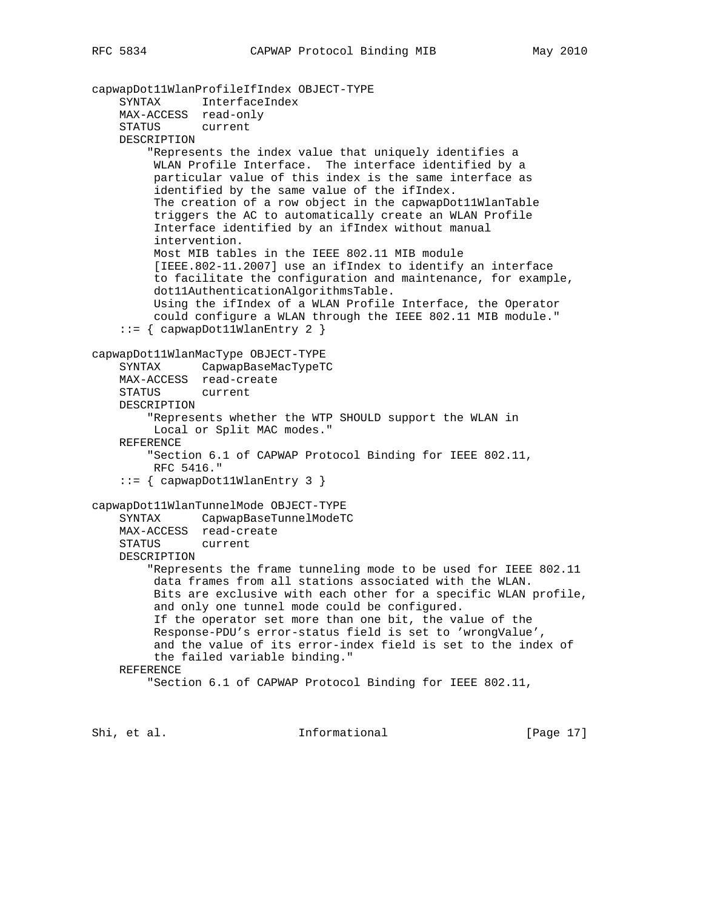```
capwapDot11WlanProfileIfIndex OBJECT-TYPE
     SYNTAX InterfaceIndex
    MAX-ACCESS read-only
     STATUS current
    DESCRIPTION
         "Represents the index value that uniquely identifies a
         WLAN Profile Interface. The interface identified by a
         particular value of this index is the same interface as
          identified by the same value of the ifIndex.
          The creation of a row object in the capwapDot11WlanTable
          triggers the AC to automatically create an WLAN Profile
          Interface identified by an ifIndex without manual
          intervention.
          Most MIB tables in the IEEE 802.11 MIB module
          [IEEE.802-11.2007] use an ifIndex to identify an interface
          to facilitate the configuration and maintenance, for example,
          dot11AuthenticationAlgorithmsTable.
          Using the ifIndex of a WLAN Profile Interface, the Operator
         could configure a WLAN through the IEEE 802.11 MIB module."
     ::= { capwapDot11WlanEntry 2 }
capwapDot11WlanMacType OBJECT-TYPE
     SYNTAX CapwapBaseMacTypeTC
    MAX-ACCESS read-create
    STATUS current
    DESCRIPTION
         "Represents whether the WTP SHOULD support the WLAN in
         Local or Split MAC modes."
     REFERENCE
         "Section 6.1 of CAPWAP Protocol Binding for IEEE 802.11,
         RFC 5416."
     ::= { capwapDot11WlanEntry 3 }
capwapDot11WlanTunnelMode OBJECT-TYPE
     SYNTAX CapwapBaseTunnelModeTC
    MAX-ACCESS read-create
     STATUS current
    DESCRIPTION
         "Represents the frame tunneling mode to be used for IEEE 802.11
          data frames from all stations associated with the WLAN.
          Bits are exclusive with each other for a specific WLAN profile,
          and only one tunnel mode could be configured.
          If the operator set more than one bit, the value of the
          Response-PDU's error-status field is set to 'wrongValue',
          and the value of its error-index field is set to the index of
         the failed variable binding."
    REFERENCE
         "Section 6.1 of CAPWAP Protocol Binding for IEEE 802.11,
```
Shi, et al. Character informational Theorem is the set of  $[Page 17]$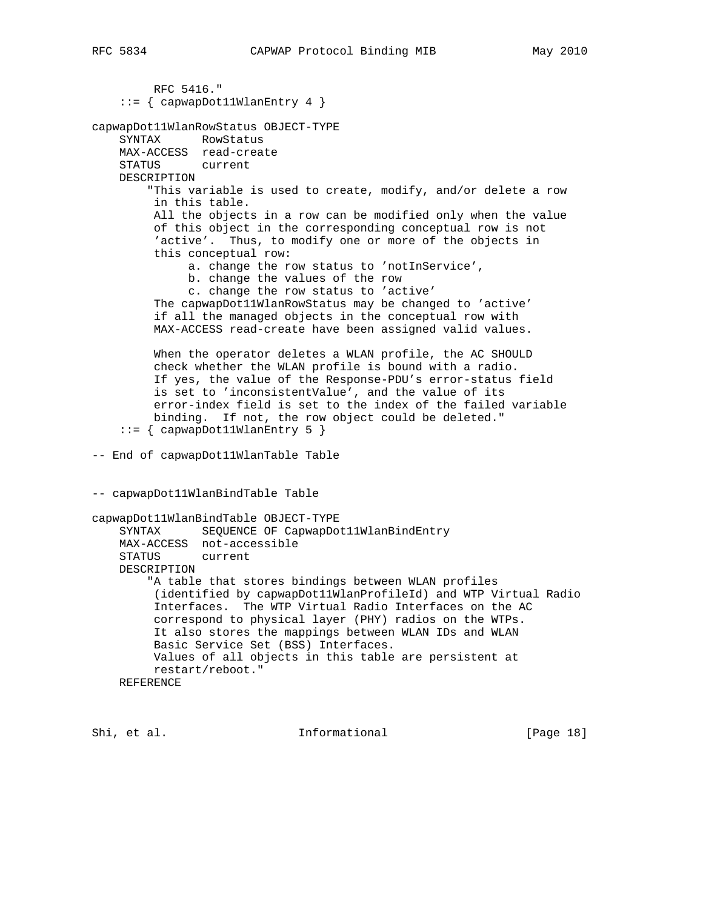```
 RFC 5416."
    ::= { capwapDot11WlanEntry 4 }
capwapDot11WlanRowStatus OBJECT-TYPE
     SYNTAX RowStatus
    MAX-ACCESS read-create
    STATUS current
    DESCRIPTION
         "This variable is used to create, modify, and/or delete a row
         in this table.
         All the objects in a row can be modified only when the value
          of this object in the corresponding conceptual row is not
          'active'. Thus, to modify one or more of the objects in
          this conceptual row:
               a. change the row status to 'notInService',
               b. change the values of the row
               c. change the row status to 'active'
          The capwapDot11WlanRowStatus may be changed to 'active'
          if all the managed objects in the conceptual row with
          MAX-ACCESS read-create have been assigned valid values.
          When the operator deletes a WLAN profile, the AC SHOULD
          check whether the WLAN profile is bound with a radio.
          If yes, the value of the Response-PDU's error-status field
          is set to 'inconsistentValue', and the value of its
          error-index field is set to the index of the failed variable
          binding. If not, the row object could be deleted."
    ::= { capwapDot11WlanEntry 5 }
-- End of capwapDot11WlanTable Table
-- capwapDot11WlanBindTable Table
capwapDot11WlanBindTable OBJECT-TYPE
     SYNTAX SEQUENCE OF CapwapDot11WlanBindEntry
    MAX-ACCESS not-accessible
     STATUS current
    DESCRIPTION
         "A table that stores bindings between WLAN profiles
          (identified by capwapDot11WlanProfileId) and WTP Virtual Radio
          Interfaces. The WTP Virtual Radio Interfaces on the AC
          correspond to physical layer (PHY) radios on the WTPs.
          It also stores the mappings between WLAN IDs and WLAN
          Basic Service Set (BSS) Interfaces.
          Values of all objects in this table are persistent at
         restart/reboot."
    REFERENCE
```
Shi, et al. 10. Informational [Page 18]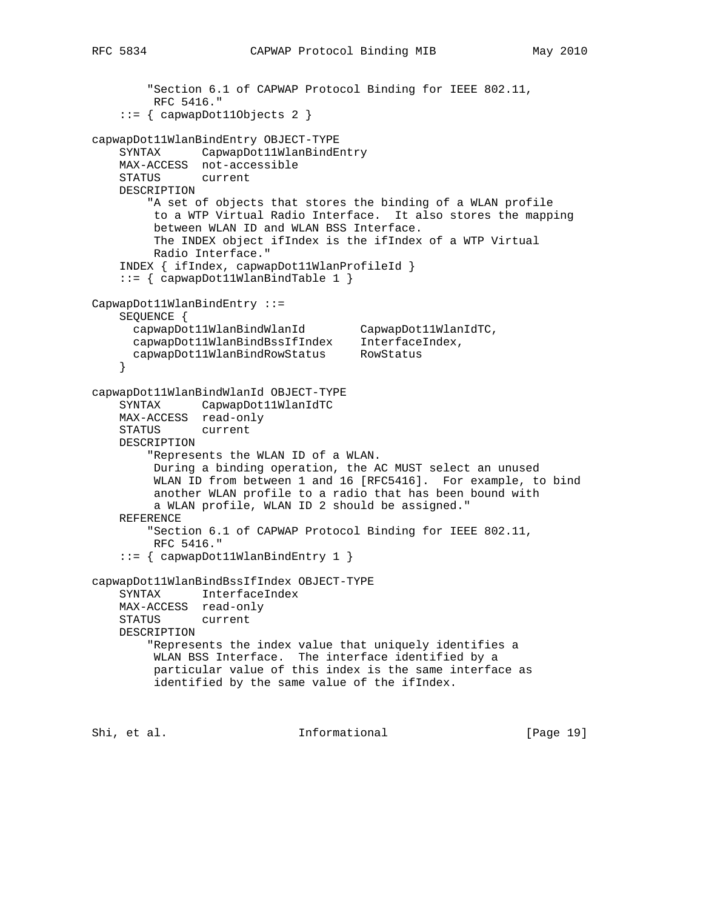"Section 6.1 of CAPWAP Protocol Binding for IEEE 802.11,

```
 RFC 5416."
     ::= { capwapDot11Objects 2 }
capwapDot11WlanBindEntry OBJECT-TYPE
    SYNTAX CapwapDot11WlanBindEntry
    MAX-ACCESS not-accessible
    STATUS current
    DESCRIPTION
         "A set of objects that stores the binding of a WLAN profile
         to a WTP Virtual Radio Interface. It also stores the mapping
         between WLAN ID and WLAN BSS Interface.
         The INDEX object ifIndex is the ifIndex of a WTP Virtual
         Radio Interface."
     INDEX { ifIndex, capwapDot11WlanProfileId }
     ::= { capwapDot11WlanBindTable 1 }
CapwapDot11WlanBindEntry ::=
    SEQUENCE {
 capwapDot11WlanBindWlanId CapwapDot11WlanIdTC,
 capwapDot11WlanBindBssIfIndex InterfaceIndex,
 capwapDot11WlanBindRowStatus RowStatus
    }
capwapDot11WlanBindWlanId OBJECT-TYPE
    SYNTAX CapwapDot11WlanIdTC
    MAX-ACCESS read-only
    STATUS current
    DESCRIPTION
         "Represents the WLAN ID of a WLAN.
         During a binding operation, the AC MUST select an unused
         WLAN ID from between 1 and 16 [RFC5416]. For example, to bind
         another WLAN profile to a radio that has been bound with
         a WLAN profile, WLAN ID 2 should be assigned."
    REFERENCE
         "Section 6.1 of CAPWAP Protocol Binding for IEEE 802.11,
         RFC 5416."
     ::= { capwapDot11WlanBindEntry 1 }
capwapDot11WlanBindBssIfIndex OBJECT-TYPE
    SYNTAX InterfaceIndex
    MAX-ACCESS read-only
    STATUS current
    DESCRIPTION
         "Represents the index value that uniquely identifies a
         WLAN BSS Interface. The interface identified by a
         particular value of this index is the same interface as
         identified by the same value of the ifIndex.
```
Shi, et al. Character and Informational Theory (Page 19)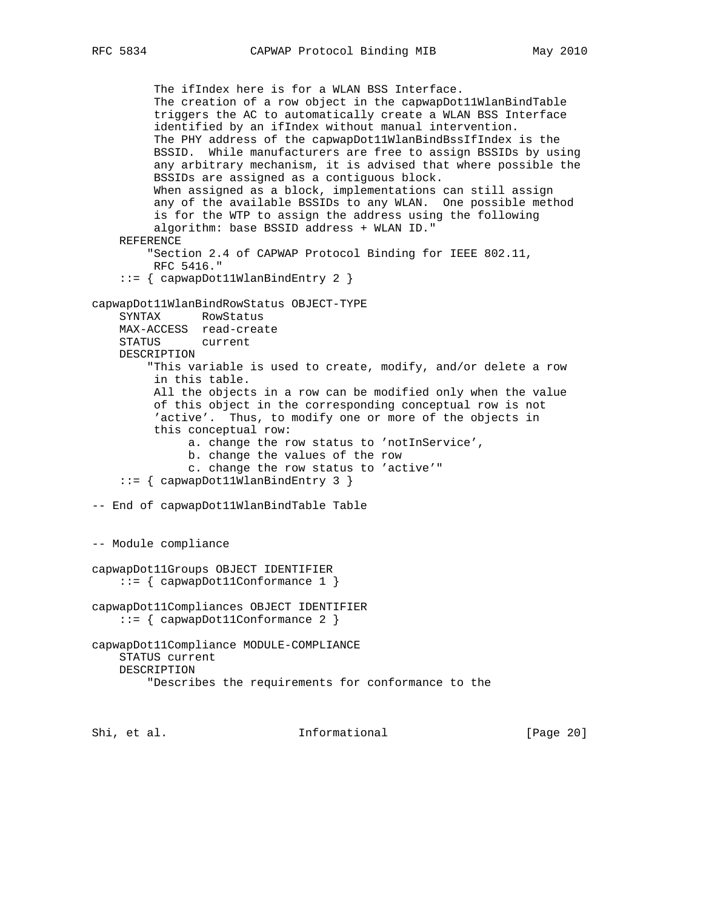The ifIndex here is for a WLAN BSS Interface. The creation of a row object in the capwapDot11WlanBindTable triggers the AC to automatically create a WLAN BSS Interface identified by an ifIndex without manual intervention. The PHY address of the capwapDot11WlanBindBssIfIndex is the BSSID. While manufacturers are free to assign BSSIDs by using any arbitrary mechanism, it is advised that where possible the BSSIDs are assigned as a contiguous block. When assigned as a block, implementations can still assign any of the available BSSIDs to any WLAN. One possible method is for the WTP to assign the address using the following algorithm: base BSSID address + WLAN ID." REFERENCE "Section 2.4 of CAPWAP Protocol Binding for IEEE 802.11, RFC 5416." ::= { capwapDot11WlanBindEntry 2 } capwapDot11WlanBindRowStatus OBJECT-TYPE SYNTAX RowStatus MAX-ACCESS read-create STATUS current DESCRIPTION "This variable is used to create, modify, and/or delete a row in this table. All the objects in a row can be modified only when the value of this object in the corresponding conceptual row is not 'active'. Thus, to modify one or more of the objects in this conceptual row: a. change the row status to 'notInService', b. change the values of the row c. change the row status to 'active'" ::= { capwapDot11WlanBindEntry 3 } -- End of capwapDot11WlanBindTable Table -- Module compliance capwapDot11Groups OBJECT IDENTIFIER ::= { capwapDot11Conformance 1 } capwapDot11Compliances OBJECT IDENTIFIER ::= { capwapDot11Conformance 2 } capwapDot11Compliance MODULE-COMPLIANCE STATUS current DESCRIPTION "Describes the requirements for conformance to the

Shi, et al. Character and Informational Theory (Page 20)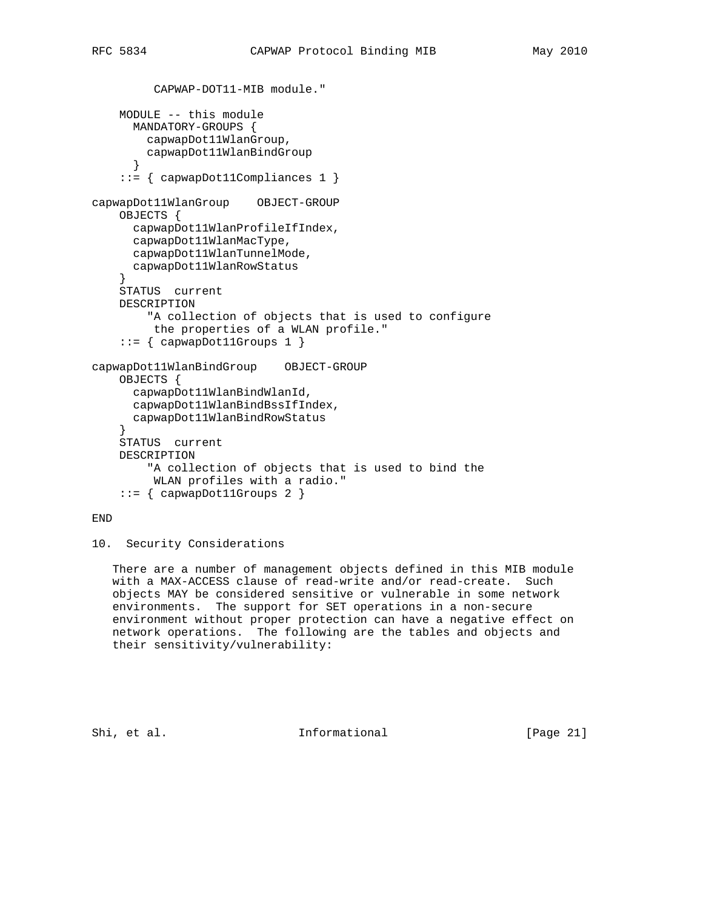```
 CAPWAP-DOT11-MIB module."
    MODULE -- this module
       MANDATORY-GROUPS {
       capwapDot11WlanGroup,
        capwapDot11WlanBindGroup
 }
     ::= { capwapDot11Compliances 1 }
capwapDot11WlanGroup OBJECT-GROUP
     OBJECTS {
      capwapDot11WlanProfileIfIndex,
       capwapDot11WlanMacType,
       capwapDot11WlanTunnelMode,
       capwapDot11WlanRowStatus
 }
     STATUS current
    DESCRIPTION
         "A collection of objects that is used to configure
         the properties of a WLAN profile."
     ::= { capwapDot11Groups 1 }
capwapDot11WlanBindGroup OBJECT-GROUP
     OBJECTS {
      capwapDot11WlanBindWlanId,
       capwapDot11WlanBindBssIfIndex,
      capwapDot11WlanBindRowStatus
 }
    STATUS current
    DESCRIPTION
         "A collection of objects that is used to bind the
         WLAN profiles with a radio."
    ::= { capwapDot11Groups 2 }
```
## END

10. Security Considerations

 There are a number of management objects defined in this MIB module with a MAX-ACCESS clause of read-write and/or read-create. Such objects MAY be considered sensitive or vulnerable in some network environments. The support for SET operations in a non-secure environment without proper protection can have a negative effect on network operations. The following are the tables and objects and their sensitivity/vulnerability:

Shi, et al. Informational [Page 21]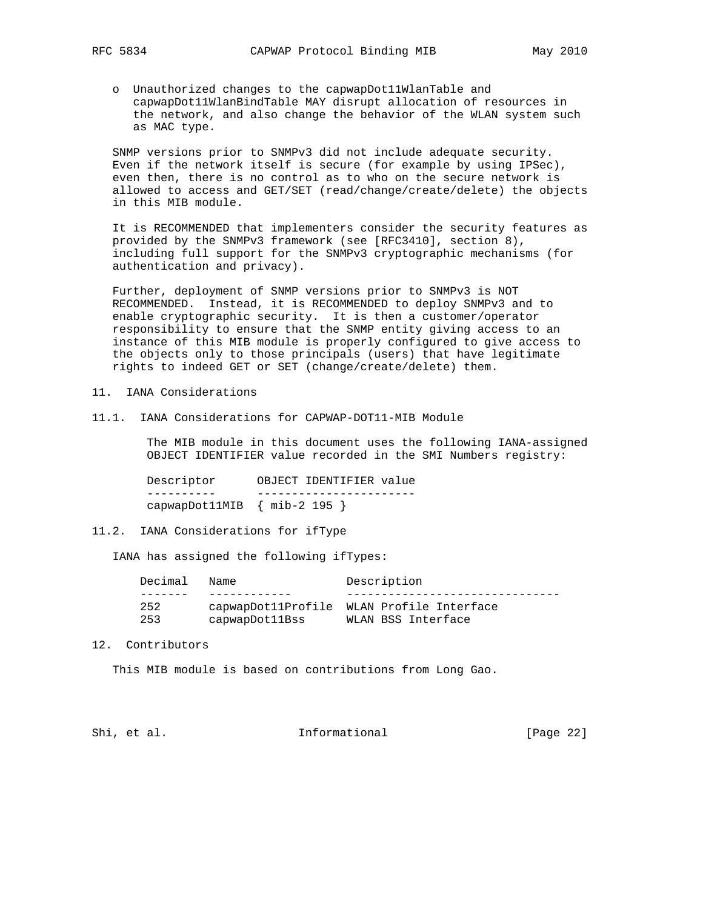o Unauthorized changes to the capwapDot11WlanTable and capwapDot11WlanBindTable MAY disrupt allocation of resources in the network, and also change the behavior of the WLAN system such as MAC type.

 SNMP versions prior to SNMPv3 did not include adequate security. Even if the network itself is secure (for example by using IPSec), even then, there is no control as to who on the secure network is allowed to access and GET/SET (read/change/create/delete) the objects in this MIB module.

 It is RECOMMENDED that implementers consider the security features as provided by the SNMPv3 framework (see [RFC3410], section 8), including full support for the SNMPv3 cryptographic mechanisms (for authentication and privacy).

 Further, deployment of SNMP versions prior to SNMPv3 is NOT RECOMMENDED. Instead, it is RECOMMENDED to deploy SNMPv3 and to enable cryptographic security. It is then a customer/operator responsibility to ensure that the SNMP entity giving access to an instance of this MIB module is properly configured to give access to the objects only to those principals (users) that have legitimate rights to indeed GET or SET (change/create/delete) them.

11. IANA Considerations

11.1. IANA Considerations for CAPWAP-DOT11-MIB Module

 The MIB module in this document uses the following IANA-assigned OBJECT IDENTIFIER value recorded in the SMI Numbers registry:

 Descriptor OBJECT IDENTIFIER value ---------- ---------------------- capwapDot11MIB { mib-2 195 }

### 11.2. IANA Considerations for ifType

IANA has assigned the following ifTypes:

| Decimal | Name           | Description                               |  |
|---------|----------------|-------------------------------------------|--|
|         |                |                                           |  |
| 252     |                | capwapDot11Profile WLAN Profile Interface |  |
| 253     | capwapDot11Bss | WLAN BSS Interface                        |  |

#### 12. Contributors

This MIB module is based on contributions from Long Gao.

Shi, et al. 10. Informational [Page 22]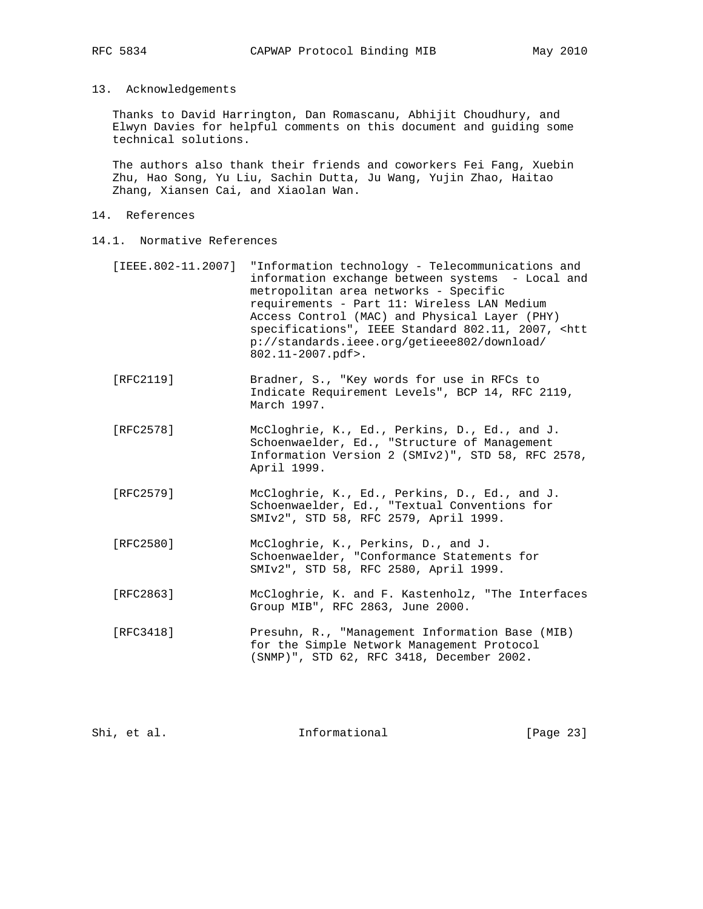## 13. Acknowledgements

 Thanks to David Harrington, Dan Romascanu, Abhijit Choudhury, and Elwyn Davies for helpful comments on this document and guiding some technical solutions.

 The authors also thank their friends and coworkers Fei Fang, Xuebin Zhu, Hao Song, Yu Liu, Sachin Dutta, Ju Wang, Yujin Zhao, Haitao Zhang, Xiansen Cai, and Xiaolan Wan.

- 14. References
- 14.1. Normative References
	- [IEEE.802-11.2007] "Information technology Telecommunications and information exchange between systems - Local and metropolitan area networks - Specific requirements - Part 11: Wireless LAN Medium Access Control (MAC) and Physical Layer (PHY) specifications", IEEE Standard 802.11, 2007, <htt p://standards.ieee.org/getieee802/download/ 802.11-2007.pdf>.
	- [RFC2119] Bradner, S., "Key words for use in RFCs to Indicate Requirement Levels", BCP 14, RFC 2119, March 1997.
	- [RFC2578] McCloghrie, K., Ed., Perkins, D., Ed., and J. Schoenwaelder, Ed., "Structure of Management Information Version 2 (SMIv2)", STD 58, RFC 2578, April 1999.
	- [RFC2579] McCloghrie, K., Ed., Perkins, D., Ed., and J. Schoenwaelder, Ed., "Textual Conventions for SMIv2", STD 58, RFC 2579, April 1999.
	- [RFC2580] McCloghrie, K., Perkins, D., and J. Schoenwaelder, "Conformance Statements for SMIv2", STD 58, RFC 2580, April 1999.
	- [RFC2863] McCloghrie, K. and F. Kastenholz, "The Interfaces Group MIB", RFC 2863, June 2000.
	- [RFC3418] Presuhn, R., "Management Information Base (MIB) for the Simple Network Management Protocol (SNMP)", STD 62, RFC 3418, December 2002.

| Shi, et al.<br>Informational | [Page 23] |
|------------------------------|-----------|
|------------------------------|-----------|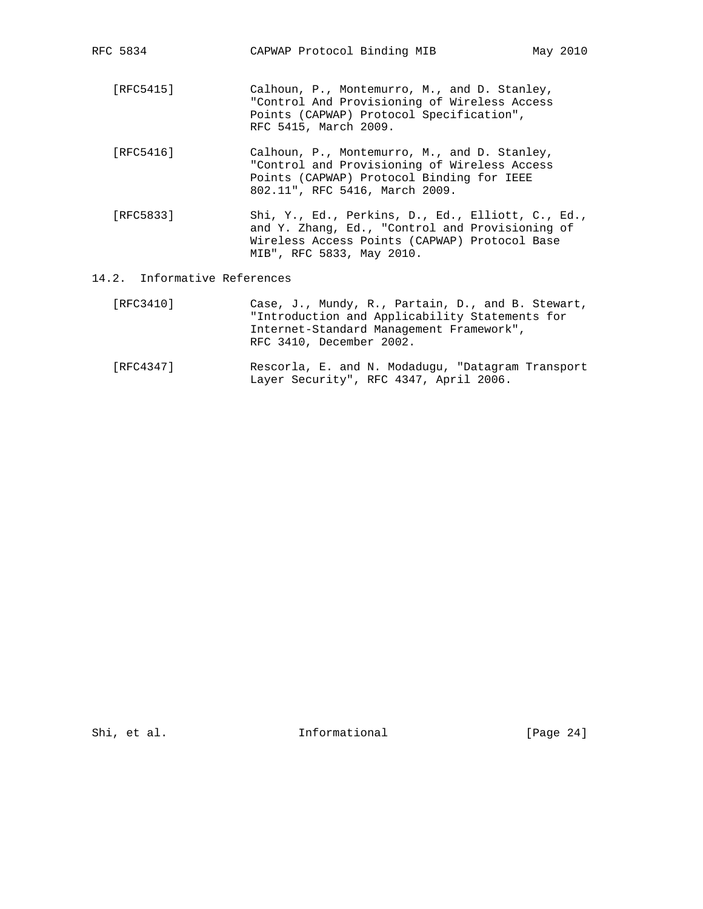| RFC 5834  | CAPWAP Protocol Binding MIB                                                                                                                                                        | May 2010 |
|-----------|------------------------------------------------------------------------------------------------------------------------------------------------------------------------------------|----------|
| [RFC5415] | Calhoun, P., Montemurro, M., and D. Stanley,<br>"Control And Provisioning of Wireless Access<br>Points (CAPWAP) Protocol Specification",<br>RFC 5415, March 2009.                  |          |
| [RFC5416] | Calhoun, P., Montemurro, M., and D. Stanley,<br>"Control and Provisioning of Wireless Access<br>Points (CAPWAP) Protocol Binding for IEEE<br>802.11", RFC 5416, March 2009.        |          |
| [RFC5833] | Shi, Y., Ed., Perkins, D., Ed., Elliott, C., Ed.,<br>and Y. Zhang, Ed., "Control and Provisioning of<br>Wireless Access Points (CAPWAP) Protocol Base<br>MIB", RFC 5833, May 2010. |          |

# 14.2. Informative References

| [RFC3410] | Case, J., Mundy, R., Partain, D., and B. Stewart, |
|-----------|---------------------------------------------------|
|           | "Introduction and Applicability Statements for    |
|           | Internet-Standard Management Framework",          |
|           | RFC 3410, December 2002.                          |
|           |                                                   |

 [RFC4347] Rescorla, E. and N. Modadugu, "Datagram Transport Layer Security", RFC 4347, April 2006.

Shi, et al. 1nformational [Page 24]